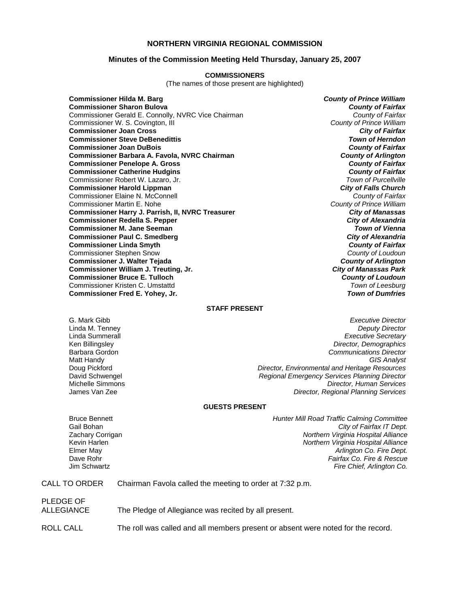# **NORTHERN VIRGINIA REGIONAL COMMISSION**

## **Minutes of the Commission Meeting Held Thursday, January 25, 2007**

#### **COMMISSIONERS**

(The names of those present are highlighted)

**Commissioner Hilda M. Barg** *County of Prince William* **Commissioner Sharon Bulova** *County of Fairfax* Commissioner Gerald E. Connolly, NVRC Vice Chairman *County of Fairfax* Commissioner W. S. Covington, III *County of Prince William* **Commissioner Joan Cross** *City of Fairfax* **Commissioner Steve DeBenedittis Commissioner Joan DuBois** *County of Fairfax* **Commissioner Barbara A. Favola, NVRC Chairman** *County of Arlington* **Commissioner Penelope A. Gross** *County of Fairfax* **Commissioner Catherine Hudgins** *County of Fairfax* Commissioner Robert W. Lazaro, Jr. *Town of Purcellville* **Commissioner Harold Lippman** *City of Falls Church* Commissioner Elaine N. McConnell *County of Fairfax* Commissioner Martin E. Nohe *County of Prince William* **Commissioner Harry J. Parrish, II, NVRC Treasurer** *City of Manassas* **Commissioner Redella S. Pepper** *City of Alexandria* **Commissioner M. Jane Seeman** *Town of Vienna* **Commissioner Paul C. Smedberg** *City of Alexandria* **Commissioner Linda Smyth** *County of Fairfax* Commissioner Stephen Snow *County of Loudoun* **Commissioner J. Walter Tejada** *County of Arlington* **Commissioner William J. Treuting, Jr.** *City of Manassas Park* **Commissioner Bruce E. Tulloch** *County of Loudoun* Commissioner Kristen C. Umstattd *Town of Leesburg* **Commissioner Fred E. Yohey, Jr.** *Town of Dumfries*

## **STAFF PRESENT**

G. Mark Gibb *Executive Director* **Deputy Director** Linda Summerall *Executive Secretary* Ken Billingsley *Director, Demographics* Barbara Gordon *Communications Director* Matt Handy *GIS Analyst* Doug Pickford *Director, Environmental and Heritage Resources* David Schwengel *Regional Emergency Services Planning Director* Michelle Simmons *Director, Human Services* **Director, Regional Planning Services** 

#### **GUESTS PRESENT**

Bruce Bennett *Hunter Mill Road Traffic Calming Committee*  Gail Bohan *City of Fairfax IT Dept.* Zachary Corrigan *Northern Virginia Hospital Alliance*  Kevin Harlen *Northern Virginia Hospital Alliance* Elmer May *Arlington Co. Fire Dept.* Dave Rohr *Fairfax Co. Fire & Rescue* Jim Schwartz *Fire Chief, Arlington Co.*

## CALL TO ORDER Chairman Favola called the meeting to order at 7:32 p.m.

# PLEDGE OF ALLEGIANCE The Pledge of Allegiance was recited by all present.

ROLL CALL The roll was called and all members present or absent were noted for the record.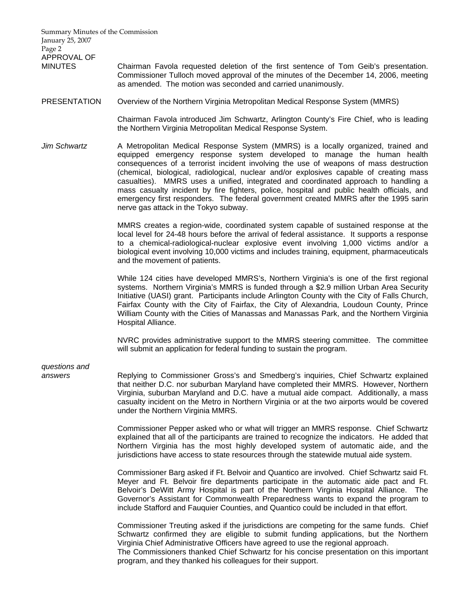Summary Minutes of the Commission January 25, 2007 Page 2 APPROVAL OF MINUTES Chairman Favola requested deletion of the first sentence of Tom Geib's presentation. Commissioner Tulloch moved approval of the minutes of the December 14, 2006, meeting as amended. The motion was seconded and carried unanimously. PRESENTATION Overview of the Northern Virginia Metropolitan Medical Response System (MMRS) Chairman Favola introduced Jim Schwartz, Arlington County's Fire Chief, who is leading the Northern Virginia Metropolitan Medical Response System. *Jim Schwartz* A Metropolitan Medical Response System (MMRS) is a locally organized, trained and equipped emergency response system developed to manage the human health consequences of a terrorist incident involving the use of weapons of mass destruction (chemical, biological, radiological, nuclear and/or explosives capable of creating mass casualties). MMRS uses a unified, integrated and coordinated approach to handling a mass casualty incident by fire fighters, police, hospital and public health officials, and emergency first responders. The federal government created MMRS after the 1995 sarin nerve gas attack in the Tokyo subway. MMRS creates a region-wide, coordinated system capable of sustained response at the local level for 24-48 hours before the arrival of federal assistance. It supports a response to a chemical-radiological-nuclear explosive event involving 1,000 victims and/or a biological event involving 10,000 victims and includes training, equipment, pharmaceuticals and the movement of patients. While 124 cities have developed MMRS's, Northern Virginia's is one of the first regional systems. Northern Virginia's MMRS is funded through a \$2.9 million Urban Area Security Initiative (UASI) grant. Participants include Arlington County with the City of Falls Church, Fairfax County with the City of Fairfax, the City of Alexandria, Loudoun County, Prince William County with the Cities of Manassas and Manassas Park, and the Northern Virginia Hospital Alliance. NVRC provides administrative support to the MMRS steering committee. The committee will submit an application for federal funding to sustain the program. *questions and answers* Replying to Commissioner Gross's and Smedberg's inquiries, Chief Schwartz explained that neither D.C. nor suburban Maryland have completed their MMRS. However, Northern Virginia, suburban Maryland and D.C. have a mutual aide compact. Additionally, a mass casualty incident on the Metro in Northern Virginia or at the two airports would be covered under the Northern Virginia MMRS. Commissioner Pepper asked who or what will trigger an MMRS response. Chief Schwartz explained that all of the participants are trained to recognize the indicators. He added that Northern Virginia has the most highly developed system of automatic aide, and the jurisdictions have access to state resources through the statewide mutual aide system. Commissioner Barg asked if Ft. Belvoir and Quantico are involved. Chief Schwartz said Ft. Meyer and Ft. Belvoir fire departments participate in the automatic aide pact and Ft. Belvoir's DeWitt Army Hospital is part of the Northern Virginia Hospital Alliance. The Governor's Assistant for Commonwealth Preparedness wants to expand the program to include Stafford and Fauquier Counties, and Quantico could be included in that effort.

> Commissioner Treuting asked if the jurisdictions are competing for the same funds. Chief Schwartz confirmed they are eligible to submit funding applications, but the Northern Virginia Chief Administrative Officers have agreed to use the regional approach. The Commissioners thanked Chief Schwartz for his concise presentation on this important program, and they thanked his colleagues for their support.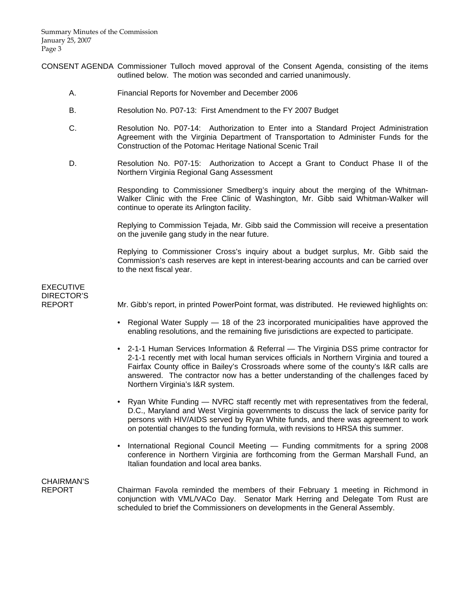- CONSENT AGENDA Commissioner Tulloch moved approval of the Consent Agenda, consisting of the items outlined below. The motion was seconded and carried unanimously.
	- A. Financial Reports for November and December 2006
	- B. Resolution No. P07-13: First Amendment to the FY 2007 Budget
	- C. Resolution No. P07-14: Authorization to Enter into a Standard Project Administration Agreement with the Virginia Department of Transportation to Administer Funds for the Construction of the Potomac Heritage National Scenic Trail
	- D. Resolution No. P07-15: Authorization to Accept a Grant to Conduct Phase II of the Northern Virginia Regional Gang Assessment

 Responding to Commissioner Smedberg's inquiry about the merging of the Whitman-Walker Clinic with the Free Clinic of Washington, Mr. Gibb said Whitman-Walker will continue to operate its Arlington facility.

 Replying to Commission Tejada, Mr. Gibb said the Commission will receive a presentation on the juvenile gang study in the near future.

 Replying to Commissioner Cross's inquiry about a budget surplus, Mr. Gibb said the Commission's cash reserves are kept in interest-bearing accounts and can be carried over to the next fiscal year.

# EXECUTIVE DIRECTOR'S<br>REPORT

Mr. Gibb's report, in printed PowerPoint format, was distributed. He reviewed highlights on:

- Regional Water Supply 18 of the 23 incorporated municipalities have approved the enabling resolutions, and the remaining five jurisdictions are expected to participate.
- 2-1-1 Human Services Information & Referral The Virginia DSS prime contractor for 2-1-1 recently met with local human services officials in Northern Virginia and toured a Fairfax County office in Bailey's Crossroads where some of the county's I&R calls are answered. The contractor now has a better understanding of the challenges faced by Northern Virginia's I&R system.
- Ryan White Funding NVRC staff recently met with representatives from the federal, D.C., Maryland and West Virginia governments to discuss the lack of service parity for persons with HIV/AIDS served by Ryan White funds, and there was agreement to work on potential changes to the funding formula, with revisions to HRSA this summer.
- International Regional Council Meeting Funding commitments for a spring 2008 conference in Northern Virginia are forthcoming from the German Marshall Fund, an Italian foundation and local area banks.

# CHAIRMAN'S

REPORT Chairman Favola reminded the members of their February 1 meeting in Richmond in conjunction with VML/VACo Day. Senator Mark Herring and Delegate Tom Rust are scheduled to brief the Commissioners on developments in the General Assembly.